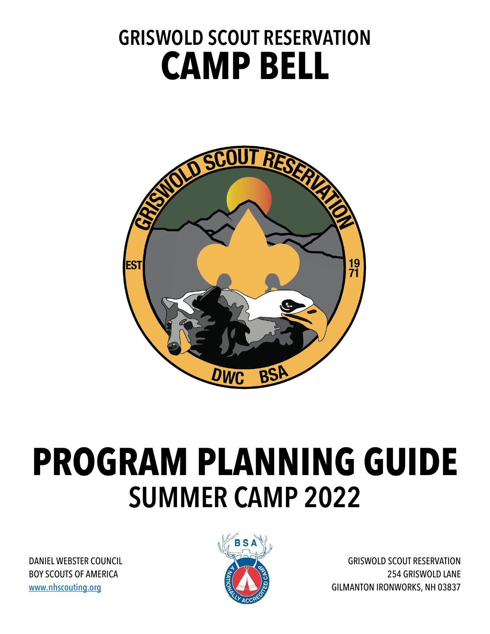## **GRISWOLD SCOUT RESERVATION CAMP BELL**



# **PROGRAM PLANNING GUIDE SUMMER CAMP 2022**

DANIEL WEBSTER COUNCIL BOY SCOUTS OF AMERICA www.nhscouting.org



GRISWOLD SCOUT RESERVATION 254 GRISWOLD LANE GILMANTON IRONWORKS, NH 03837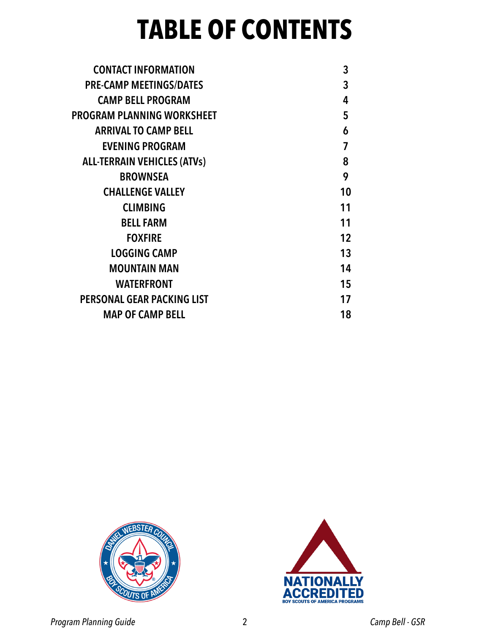## **TABLE OF CONTENTS**

| <b>CONTACT INFORMATION</b>         | 3  |
|------------------------------------|----|
| <b>PRE-CAMP MEETINGS/DATES</b>     | 3  |
| <b>CAMP BELL PROGRAM</b>           | 4  |
| PROGRAM PLANNING WORKSHEET         | 5  |
| <b>ARRIVAL TO CAMP BELL</b>        | 6  |
| <b>EVENING PROGRAM</b>             | 7  |
| <b>ALL-TERRAIN VEHICLES (ATVs)</b> | 8  |
| <b>BROWNSEA</b>                    | 9  |
| <b>CHALLENGE VALLEY</b>            | 10 |
| <b>CLIMBING</b>                    | 11 |
| <b>BELL FARM</b>                   | 11 |
| <b>FOXFIRE</b>                     | 12 |
| <b>LOGGING CAMP</b>                | 13 |
| <b>MOUNTAIN MAN</b>                | 14 |
| <b>WATERFRONT</b>                  | 15 |
| PERSONAL GEAR PACKING LIST         | 17 |
| <b>MAP OF CAMP BELL</b>            | 18 |
|                                    |    |



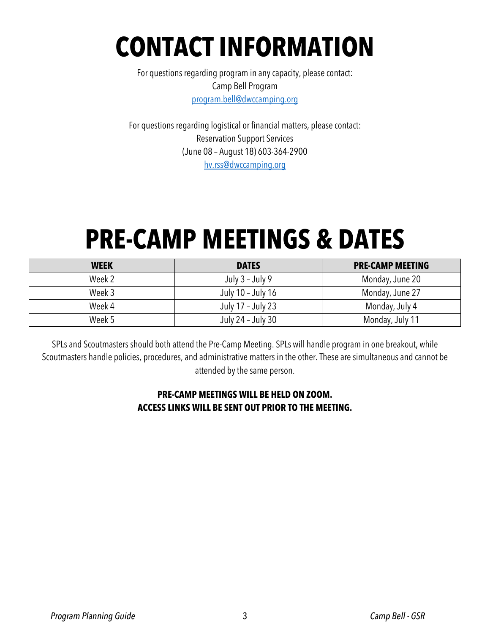## **CONTACT INFORMATION**

For questions regarding program in any capacity, please contact: Camp Bell Program program.bell@dwccamping.org

For questions regarding logistical or financial matters, please contact: Reservation Support Services (June 08 – August 18) 603-364-2900 hv.rss@dwccamping.org

## **PRE-CAMP MEETINGS & DATES**

| <b>WEEK</b> | <b>DATES</b>      | <b>PRE-CAMP MEETING</b> |
|-------------|-------------------|-------------------------|
| Week 2      | July 3 - July 9   | Monday, June 20         |
| Week 3      | July 10 - July 16 | Monday, June 27         |
| Week 4      | July 17 – July 23 | Monday, July 4          |
| Week 5      | July 24 - July 30 | Monday, July 11         |

SPLs and Scoutmasters should both attend the Pre-Camp Meeting. SPLs will handle program in one breakout, while Scoutmasters handle policies, procedures, and administrative matters in the other. These are simultaneous and cannot be attended by the same person.

#### **PRE-CAMP MEETINGS WILL BE HELD ON ZOOM. ACCESS LINKS WILL BE SENT OUT PRIOR TO THE MEETING.**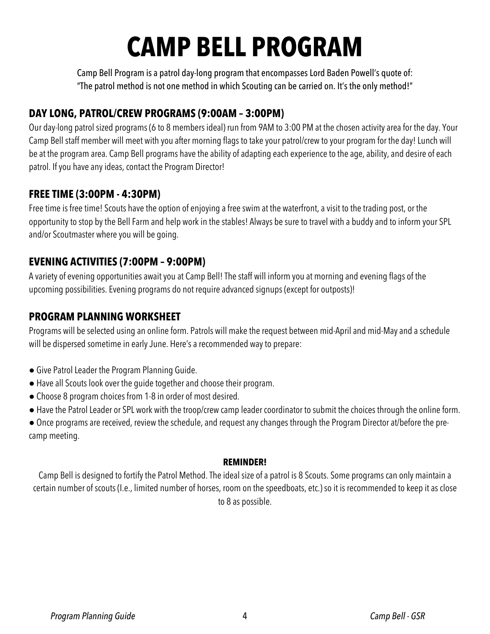## **CAMP BELL PROGRAM**

Camp Bell Program is a patrol day-long program that encompasses Lord Baden Powell's quote of: "The patrol method is not one method in which Scouting can be carried on. It's the only method!"

### **DAY LONG, PATROL/CREW PROGRAMS (9:00AM – 3:00PM)**

Our day-long patrol sized programs (6 to 8 members ideal) run from 9AM to 3:00 PM at the chosen activity area for the day. Your Camp Bell staff member will meet with you after morning flags to take your patrol/crew to your program for the day! Lunch will be at the program area. Camp Bell programs have the ability of adapting each experience to the age, ability, and desire of each patrol. If you have any ideas, contact the Program Director!

### **FREE TIME (3:00PM - 4:30PM)**

Free time is free time! Scouts have the option of enjoying a free swim at the waterfront, a visit to the trading post, or the opportunity to stop by the Bell Farm and help work in the stables! Always be sure to travel with a buddy and to inform your SPL and/or Scoutmaster where you will be going.

### **EVENING ACTIVITIES (7:00PM – 9:00PM)**

A variety of evening opportunities await you at Camp Bell! The staff will inform you at morning and evening flags of the upcoming possibilities. Evening programs do not require advanced signups (except for outposts)!

### **PROGRAM PLANNING WORKSHEET**

Programs will be selected using an online form. Patrols will make the request between mid-April and mid-May and a schedule will be dispersed sometime in early June. Here's a recommended way to prepare:

- Give Patrol Leader the Program Planning Guide.
- Have all Scouts look over the guide together and choose their program.
- Choose 8 program choices from 1-8 in order of most desired.
- Have the Patrol Leader or SPL work with the troop/crew camp leader coordinator to submit the choices through the online form.

● Once programs are received, review the schedule, and request any changes through the Program Director at/before the precamp meeting.

#### **REMINDER!**

Camp Bell is designed to fortify the Patrol Method. The ideal size of a patrol is 8 Scouts. Some programs can only maintain a certain number of scouts (I.e., limited number of horses, room on the speedboats, etc.) so it is recommended to keep it as close to 8 as possible.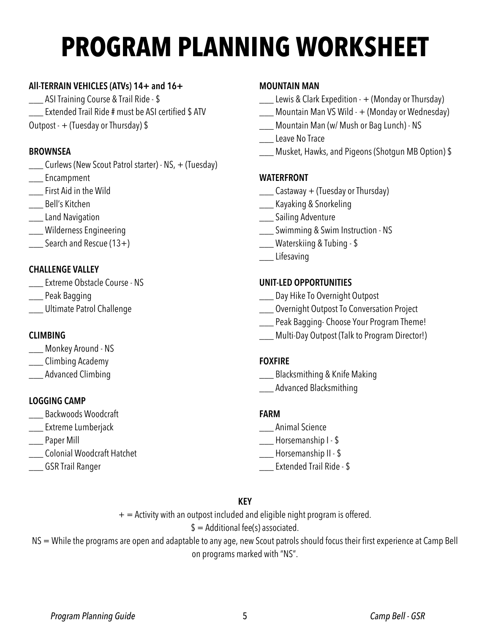## **PROGRAM PLANNING WORKSHEET**

#### **All-TERRAIN VEHICLES (ATVs) 14+ and 16+**

\_\_\_ ASI Training Course & Trail Ride - \$ \_\_\_ Extended Trail Ride # must be ASI certified \$ ATV Outpost -  $+$  (Tuesday or Thursday) \$

#### **BROWNSEA**

- \_\_\_ Curlews (New Scout Patrol starter) NS, + (Tuesday)
- \_\_\_ Encampment
- \_\_\_ First Aid in the Wild
- \_\_\_ Bell's Kitchen
- **\_\_\_\_** Land Navigation
- \_\_\_ Wilderness Engineering
- \_\_\_ Search and Rescue (13+)

#### **CHALLENGE VALLEY**

- \_\_\_ Extreme Obstacle Course NS
- \_\_\_ Peak Bagging
- \_\_\_ Ultimate Patrol Challenge

#### **CLIMBING**

- \_\_\_ Monkey Around NS
- \_\_\_ Climbing Academy
- \_\_\_ Advanced Climbing

#### **LOGGING CAMP**

- \_\_\_ Backwoods Woodcraft
- **\_\_\_\_** Extreme Lumberjack
- \_\_\_ Paper Mill
- \_\_\_ Colonial Woodcraft Hatchet
- \_\_\_ GSR Trail Ranger

#### **MOUNTAIN MAN**

- \_\_\_ Lewis & Clark Expedition + (Monday or Thursday)
- \_\_\_ Mountain Man VS Wild + (Monday or Wednesday)
- \_\_\_ Mountain Man (w/ Mush or Bag Lunch) NS
- \_\_\_ Leave No Trace
- \_\_\_ Musket, Hawks, and Pigeons (Shotgun MB Option) \$

#### **WATERFRONT**

- $\sqrt{\frac{1}{1-\epsilon^2}}$  Castaway + (Tuesday or Thursday)
- \_\_\_ Kayaking & Snorkeling
- **\_\_\_ Sailing Adventure**
- \_\_\_ Swimming & Swim Instruction NS
- \_\_\_ Waterskiing & Tubing \$
- \_\_\_ Lifesaving

#### **UNIT-LED OPPORTUNITIES**

- \_\_\_ Day Hike To Overnight Outpost
- \_\_\_ Overnight Outpost To Conversation Project
- \_\_\_ Peak Bagging- Choose Your Program Theme!
- \_\_\_ Multi-Day Outpost (Talk to Program Director!)

#### **FOXFIRE**

- \_\_\_ Blacksmithing & Knife Making
- \_\_\_ Advanced Blacksmithing

#### **FARM**

- \_\_\_ Animal Science
- \_\_\_ Horsemanship I \$
- \_\_\_ Horsemanship II \$
- \_\_\_ Extended Trail Ride \$

#### **KEY**

 $+$  = Activity with an outpost included and eligible night program is offered.

 $$ =$  Additional fee(s) associated.

NS = While the programs are open and adaptable to any age, new Scout patrols should focus their first experience at Camp Bell on programs marked with "NS".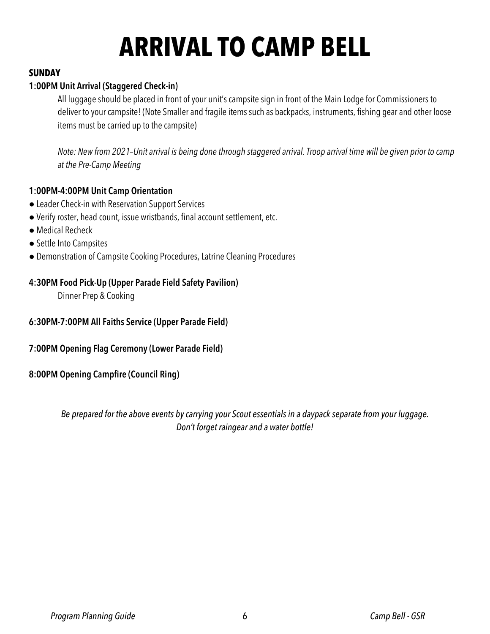## **ARRIVAL TO CAMP BELL**

#### **SUNDAY**

#### **1:00PM Unit Arrival (Staggered Check-in)**

All luggage should be placed in front of your unit's campsite sign in front of the Main Lodge for Commissioners to deliver to your campsite! (Note Smaller and fragile items such as backpacks, instruments, fishing gear and other loose items must be carried up to the campsite)

*Note: New from 2021–Unit arrival is being done through staggered arrival. Troop arrival time will be given prior to camp at the Pre-Camp Meeting*

#### **1:00PM-4:00PM Unit Camp Orientation**

- Leader Check-in with Reservation Support Services
- Verify roster, head count, issue wristbands, final account settlement, etc.
- Medical Recheck
- Settle Into Campsites
- Demonstration of Campsite Cooking Procedures, Latrine Cleaning Procedures

#### **4:30PM Food Pick-Up (Upper Parade Field Safety Pavilion)**

Dinner Prep & Cooking

#### **6:30PM-7:00PM All Faiths Service (Upper Parade Field)**

#### **7:00PM Opening Flag Ceremony (Lower Parade Field)**

#### **8:00PM Opening Campfire (Council Ring)**

*Be prepared for the above events by carrying your Scout essentials in a daypack separate from your luggage. Don't forget raingear and a water bottle!*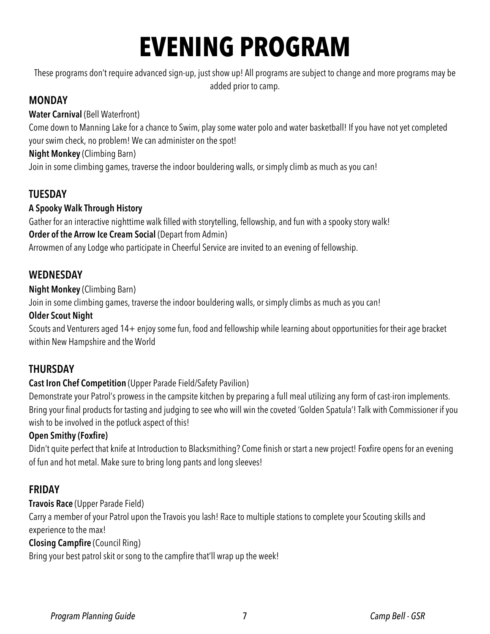## **EVENING PROGRAM**

These programs don't require advanced sign-up, just show up! All programs are subject to change and more programs may be added prior to camp.

### **MONDAY**

**Water Carnival** (Bell Waterfront)

Come down to Manning Lake for a chance to Swim, play some water polo and water basketball! If you have not yet completed your swim check, no problem! We can administer on the spot!

**Night Monkey** (Climbing Barn)

Join in some climbing games, traverse the indoor bouldering walls, or simply climb as much as you can!

### **TUESDAY**

### **A Spooky Walk Through History**

Gather for an interactive nighttime walk filled with storytelling, fellowship, and fun with a spooky story walk! **Order of the Arrow Ice Cream Social (Depart from Admin)** 

Arrowmen of any Lodge who participate in Cheerful Service are invited to an evening of fellowship.

### **WEDNESDAY**

#### **Night Monkey** (Climbing Barn)

Join in some climbing games, traverse the indoor bouldering walls, or simply climbs as much as you can!

#### **Older Scout Night**

Scouts and Venturers aged 14+ enjoy some fun, food and fellowship while learning about opportunities for their age bracket within New Hampshire and the World

### **THURSDAY**

#### **Cast Iron Chef Competition** (Upper Parade Field/Safety Pavilion)

Demonstrate your Patrol's prowess in the campsite kitchen by preparing a full meal utilizing any form of cast-iron implements. Bring your final products for tasting and judging to see who will win the coveted 'Golden Spatula'! Talk with Commissioner if you wish to be involved in the potluck aspect of this!

### **Open Smithy (Foxfire)**

Didn't quite perfect that knife at Introduction to Blacksmithing? Come finish or start a new project! Foxfire opens for an evening of fun and hot metal. Make sure to bring long pants and long sleeves!

### **FRIDAY**

### **Travois Race** (Upper Parade Field)

Carry a member of your Patrol upon the Travois you lash! Race to multiple stations to complete your Scouting skills and experience to the max!

### **Closing Campfire** (Council Ring)

Bring your best patrol skit or song to the campfire that'll wrap up the week!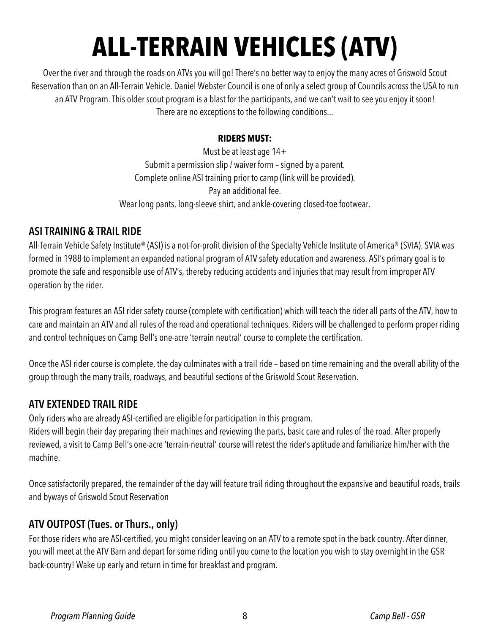## **ALL-TERRAIN VEHICLES (ATV)**

Over the river and through the roads on ATVs you will go! There's no better way to enjoy the many acres of Griswold Scout Reservation than on an All-Terrain Vehicle. Daniel Webster Council is one of only a select group of Councils across the USA to run an ATV Program. This older scout program is a blast for the participants, and we can't wait to see you enjoy it soon! There are no exceptions to the following conditions...

#### **RIDERS MUST:**

Must be at least age 14+ Submit a permission slip / waiver form – signed by a parent. Complete online ASI training prior to camp (link will be provided). Pay an additional fee. Wear long pants, long-sleeve shirt, and ankle-covering closed-toe footwear.

#### **ASI TRAINING & TRAIL RIDE**

All-Terrain Vehicle Safety Institute® (ASI) is a not-for-profit division of the Specialty Vehicle Institute of America® (SVIA). SVIA was formed in 1988 to implement an expanded national program of ATV safety education and awareness. ASI's primary goal is to promote the safe and responsible use of ATV's, thereby reducing accidents and injuries that may result from improper ATV operation by the rider.

This program features an ASI rider safety course (complete with certification) which will teach the rider all parts of the ATV, how to care and maintain an ATV and all rules of the road and operational techniques. Riders will be challenged to perform proper riding and control techniques on Camp Bell's one-acre 'terrain neutral' course to complete the certification.

Once the ASI rider course is complete, the day culminates with a trail ride – based on time remaining and the overall ability of the group through the many trails, roadways, and beautiful sections of the Griswold Scout Reservation.

### **ATV EXTENDED TRAIL RIDE**

Only riders who are already ASI-certified are eligible for participation in this program.

Riders will begin their day preparing their machines and reviewing the parts, basic care and rules of the road. After properly reviewed, a visit to Camp Bell's one-acre 'terrain-neutral' course will retest the rider's aptitude and familiarize him/her with the machine.

Once satisfactorily prepared, the remainder of the day will feature trail riding throughout the expansive and beautiful roads, trails and byways of Griswold Scout Reservation

### **ATV OUTPOST (Tues. or Thurs., only)**

For those riders who are ASI-certified, you might consider leaving on an ATV to a remote spot in the back country. After dinner, you will meet at the ATV Barn and depart for some riding until you come to the location you wish to stay overnight in the GSR back-country! Wake up early and return in time for breakfast and program.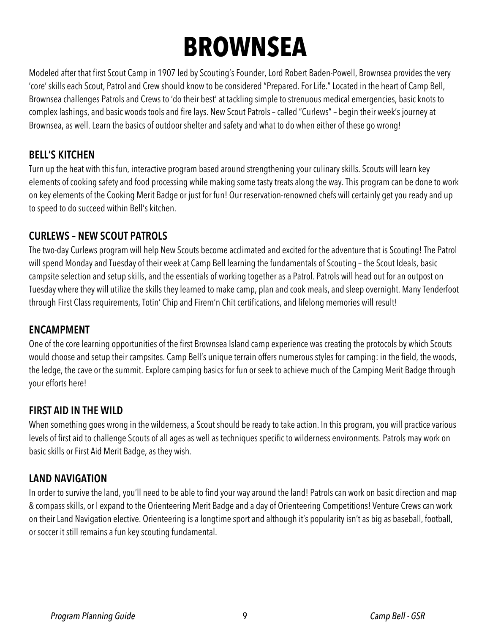## **BROWNSEA**

Modeled after that first Scout Camp in 1907 led by Scouting's Founder, Lord Robert Baden-Powell, Brownsea provides the very 'core' skills each Scout, Patrol and Crew should know to be considered "Prepared. For Life." Located in the heart of Camp Bell, Brownsea challenges Patrols and Crews to 'do their best' at tackling simple to strenuous medical emergencies, basic knots to complex lashings, and basic woods tools and fire lays. New Scout Patrols – called "Curlews" – begin their week's journey at Brownsea, as well. Learn the basics of outdoor shelter and safety and what to do when either of these go wrong!

### **BELL'S KITCHEN**

Turn up the heat with this fun, interactive program based around strengthening your culinary skills. Scouts will learn key elements of cooking safety and food processing while making some tasty treats along the way. This program can be done to work on key elements of the Cooking Merit Badge or just for fun! Our reservation-renowned chefs will certainly get you ready and up to speed to do succeed within Bell's kitchen.

#### **CURLEWS – NEW SCOUT PATROLS**

The two-day Curlews program will help New Scouts become acclimated and excited for the adventure that is Scouting! The Patrol will spend Monday and Tuesday of their week at Camp Bell learning the fundamentals of Scouting – the Scout Ideals, basic campsite selection and setup skills, and the essentials of working together as a Patrol. Patrols will head out for an outpost on Tuesday where they will utilize the skills they learned to make camp, plan and cook meals, and sleep overnight. Many Tenderfoot through First Class requirements, Totin' Chip and Firem'n Chit certifications, and lifelong memories will result!

#### **ENCAMPMENT**

One of the core learning opportunities of the first Brownsea Island camp experience was creating the protocols by which Scouts would choose and setup their campsites. Camp Bell's unique terrain offers numerous styles for camping: in the field, the woods, the ledge, the cave or the summit. Explore camping basics for fun or seek to achieve much of the Camping Merit Badge through your efforts here!

### **FIRST AID IN THE WILD**

When something goes wrong in the wilderness, a Scout should be ready to take action. In this program, you will practice various levels of first aid to challenge Scouts of all ages as well as techniques specific to wilderness environments. Patrols may work on basic skills or First Aid Merit Badge, as they wish.

### **LAND NAVIGATION**

In order to survive the land, you'll need to be able to find your way around the land! Patrols can work on basic direction and map & compass skills, or l expand to the Orienteering Merit Badge and a day of Orienteering Competitions! Venture Crews can work on their Land Navigation elective. Orienteering is a longtime sport and although it's popularity isn't as big as baseball, football, or soccer it still remains a fun key scouting fundamental.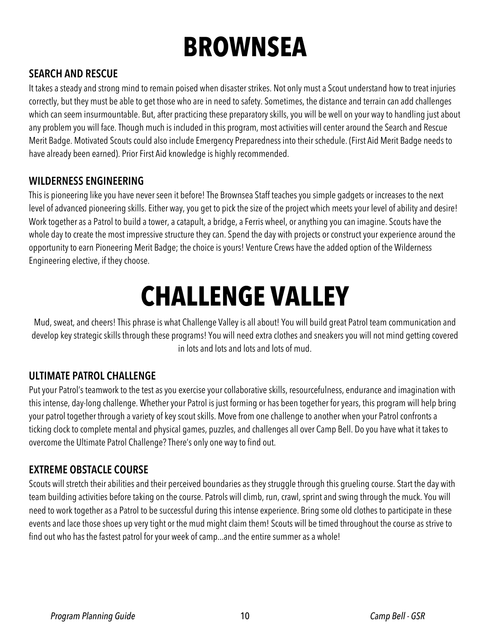## **BROWNSEA**

### **SEARCH AND RESCUE**

It takes a steady and strong mind to remain poised when disaster strikes. Not only must a Scout understand how to treat injuries correctly, but they must be able to get those who are in need to safety. Sometimes, the distance and terrain can add challenges which can seem insurmountable. But, after practicing these preparatory skills, you will be well on your way to handling just about any problem you will face. Though much is included in this program, most activities will center around the Search and Rescue Merit Badge. Motivated Scouts could also include Emergency Preparedness into their schedule. (First Aid Merit Badge needs to have already been earned). Prior First Aid knowledge is highly recommended.

#### **WILDERNESS ENGINEERING**

This is pioneering like you have never seen it before! The Brownsea Staff teaches you simple gadgets or increases to the next level of advanced pioneering skills. Either way, you get to pick the size of the project which meets your level of ability and desire! Work together as a Patrol to build a tower, a catapult, a bridge, a Ferris wheel, or anything you can imagine. Scouts have the whole day to create the most impressive structure they can. Spend the day with projects or construct your experience around the opportunity to earn Pioneering Merit Badge; the choice is yours! Venture Crews have the added option of the Wilderness Engineering elective, if they choose.

## **CHALLENGE VALLEY**

Mud, sweat, and cheers! This phrase is what Challenge Valley is all about! You will build great Patrol team communication and develop key strategic skills through these programs! You will need extra clothes and sneakers you will not mind getting covered in lots and lots and lots and lots of mud.

### **ULTIMATE PATROL CHALLENGE**

Put your Patrol's teamwork to the test as you exercise your collaborative skills, resourcefulness, endurance and imagination with this intense, day-long challenge. Whether your Patrol is just forming or has been together for years, this program will help bring your patrol together through a variety of key scout skills. Move from one challenge to another when your Patrol confronts a ticking clock to complete mental and physical games, puzzles, and challenges all over Camp Bell. Do you have what it takes to overcome the Ultimate Patrol Challenge? There's only one way to find out.

### **EXTREME OBSTACLE COURSE**

Scouts will stretch their abilities and their perceived boundaries as they struggle through this grueling course. Start the day with team building activities before taking on the course. Patrols will climb, run, crawl, sprint and swing through the muck. You will need to work together as a Patrol to be successful during this intense experience. Bring some old clothes to participate in these events and lace those shoes up very tight or the mud might claim them! Scouts will be timed throughout the course as strive to find out who has the fastest patrol for your week of camp...and the entire summer as a whole!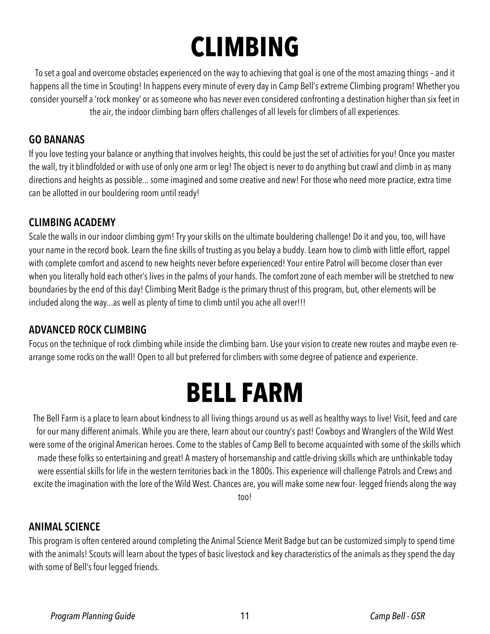## **CLIMBING**

To set a goal and overcome obstacles experienced on the way to achieving that goal is one of the most amazing things – and it happens all the time in Scouting! In happens every minute of every day in Camp Bell's extreme Climbing program! Whether you consider yourself a 'rock monkey' or as someone who has never even considered confronting a destination higher than six feet in the air, the indoor climbing barn offers challenges of all levels for climbers of all experiences.

#### **GO BANANAS**

If you love testing your balance or anything that involves heights, this could be just the set of activities for you! Once you master the wall, try it blindfolded or with use of only one arm or leg! The object is never to do anything but crawl and climb in as many directions and heights as possible... some imagined and some creative and new! For those who need more practice, extra time can be allotted in our bouldering room until ready!

#### **CLIMBING ACADEMY**

Scale the walls in our indoor climbing gym! Try your skills on the ultimate bouldering challenge! Do it and you, too, will have your name in the record book. Learn the fine skills of trusting as you belay a buddy. Learn how to climb with little effort, rappel with complete comfort and ascend to new heights never before experienced! Your entire Patrol will become closer than ever when you literally hold each other's lives in the palms of your hands. The comfort zone of each member will be stretched to new boundaries by the end of this day! Climbing Merit Badge is the primary thrust of this program, but, other elements will be included along the way...as well as plenty of time to climb until you ache all over!!!

### **ADVANCED ROCK CLIMBING**

Focus on the technique of rock climbing while inside the climbing barn. Use your vision to create new routes and maybe even rearrange some rocks on the wall! Open to all but preferred for climbers with some degree of patience and experience.

## **BELL FARM**

The Bell Farm is a place to learn about kindness to all living things around us as well as healthy ways to live! Visit, feed and care for our many different animals. While you are there, learn about our country's past! Cowboys and Wranglers of the Wild West were some of the original American heroes. Come to the stables of Camp Bell to become acquainted with some of the skills which made these folks so entertaining and great! A mastery of horsemanship and cattle-driving skills which are unthinkable today were essential skills for life in the western territories back in the 1800s. This experience will challenge Patrols and Crews and excite the imagination with the lore of the Wild West. Chances are, you will make some new four- legged friends along the way

too!

#### **ANIMAL SCIENCE**

This program is often centered around completing the Animal Science Merit Badge but can be customized simply to spend time with the animals! Scouts will learn about the types of basic livestock and key characteristics of the animals as they spend the day with some of Bell's four legged friends.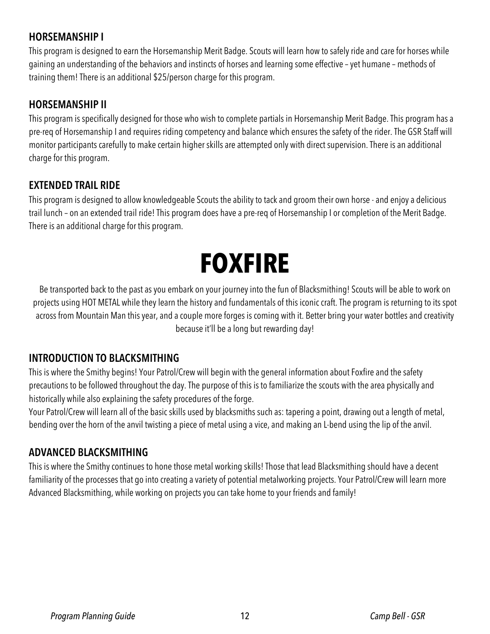### **HORSEMANSHIP I**

This program is designed to earn the Horsemanship Merit Badge. Scouts will learn how to safely ride and care for horses while gaining an understanding of the behaviors and instincts of horses and learning some effective – yet humane – methods of training them! There is an additional \$25/person charge for this program.

#### **HORSEMANSHIP II**

This program is specifically designed for those who wish to complete partials in Horsemanship Merit Badge. This program has a pre-req of Horsemanship I and requires riding competency and balance which ensures the safety of the rider. The GSR Staff will monitor participants carefully to make certain higher skills are attempted only with direct supervision. There is an additional charge for this program.

#### **EXTENDED TRAIL RIDE**

This program is designed to allow knowledgeable Scouts the ability to tack and groom their own horse - and enjoy a delicious trail lunch – on an extended trail ride! This program does have a pre-req of Horsemanship I or completion of the Merit Badge. There is an additional charge for this program.

## **FOXFIRE**

Be transported back to the past as you embark on your journey into the fun of Blacksmithing! Scouts will be able to work on projects using HOT METAL while they learn the history and fundamentals of this iconic craft. The program is returning to its spot across from Mountain Man this year, and a couple more forges is coming with it. Better bring your water bottles and creativity because it'll be a long but rewarding day!

### **INTRODUCTION TO BLACKSMITHING**

This is where the Smithy begins! Your Patrol/Crew will begin with the general information about Foxfire and the safety precautions to be followed throughout the day. The purpose of this is to familiarize the scouts with the area physically and historically while also explaining the safety procedures of the forge.

Your Patrol/Crew will learn all of the basic skills used by blacksmiths such as: tapering a point, drawing out a length of metal, bending over the horn of the anvil twisting a piece of metal using a vice, and making an L-bend using the lip of the anvil.

### **ADVANCED BLACKSMITHING**

This is where the Smithy continues to hone those metal working skills! Those that lead Blacksmithing should have a decent familiarity of the processes that go into creating a variety of potential metalworking projects. Your Patrol/Crew will learn more Advanced Blacksmithing, while working on projects you can take home to your friends and family!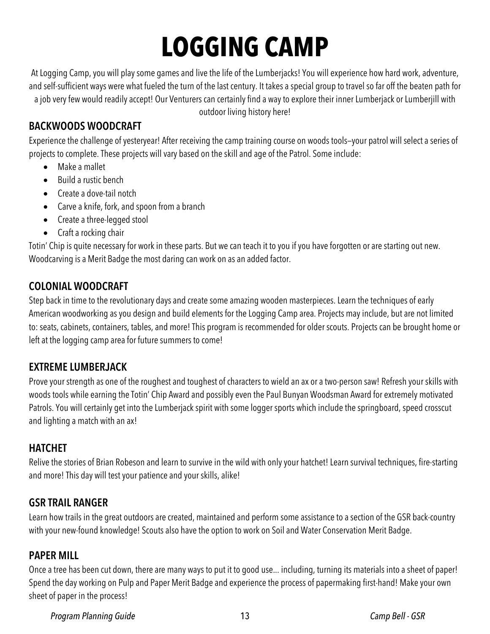## **LOGGING CAMP**

At Logging Camp, you will play some games and live the life of the Lumberjacks! You will experience how hard work, adventure, and self-sufficient ways were what fueled the turn of the last century. It takes a special group to travel so far off the beaten path for a job very few would readily accept! Our Venturers can certainly find a way to explore their inner Lumberjack or Lumberjill with outdoor living history here!

### **BACKWOODS WOODCRAFT**

Experience the challenge of yesteryear! After receiving the camp training course on woods tools—your patrol will select a series of projects to complete. These projects will vary based on the skill and age of the Patrol. Some include:

- Make a mallet
- Build a rustic bench
- Create a dove-tail notch
- Carve a knife, fork, and spoon from a branch
- Create a three-legged stool
- Craft a rocking chair

Totin' Chip is quite necessary for work in these parts. But we can teach it to you if you have forgotten or are starting out new. Woodcarving is a Merit Badge the most daring can work on as an added factor.

### **COLONIAL WOODCRAFT**

Step back in time to the revolutionary days and create some amazing wooden masterpieces. Learn the techniques of early American woodworking as you design and build elements for the Logging Camp area. Projects may include, but are not limited to: seats, cabinets, containers, tables, and more! This program is recommended for older scouts. Projects can be brought home or left at the logging camp area for future summers to come!

### **EXTREME LUMBERJACK**

Prove your strength as one of the roughest and toughest of characters to wield an ax or a two-person saw! Refresh your skills with woods tools while earning the Totin' Chip Award and possibly even the Paul Bunyan Woodsman Award for extremely motivated Patrols. You will certainly get into the Lumberjack spirit with some logger sports which include the springboard, speed crosscut and lighting a match with an ax!

### **HATCHET**

Relive the stories of Brian Robeson and learn to survive in the wild with only your hatchet! Learn survival techniques, fire-starting and more! This day will test your patience and your skills, alike!

### **GSR TRAIL RANGER**

Learn how trails in the great outdoors are created, maintained and perform some assistance to a section of the GSR back-country with your new-found knowledge! Scouts also have the option to work on Soil and Water Conservation Merit Badge.

### **PAPER MILL**

Once a tree has been cut down, there are many ways to put it to good use... including, turning its materials into a sheet of paper! Spend the day working on Pulp and Paper Merit Badge and experience the process of papermaking first-hand! Make your own sheet of paper in the process!

*Program Planning Guide* 13 *Camp Bell - GSR*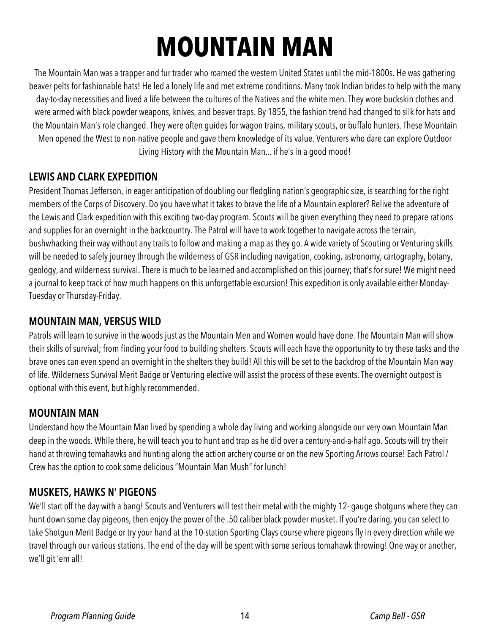## **MOUNTAIN MAN**

The Mountain Man was a trapper and fur trader who roamed the western United States until the mid-1800s. He was gathering beaver pelts for fashionable hats! He led a lonely life and met extreme conditions. Many took Indian brides to help with the many day-to-day necessities and lived a life between the cultures of the Natives and the white men. They wore buckskin clothes and were armed with black powder weapons, knives, and beaver traps. By 1855, the fashion trend had changed to silk for hats and the Mountain Man's role changed. They were often guides for wagon trains, military scouts, or buffalo hunters. These Mountain Men opened the West to non-native people and gave them knowledge of its value. Venturers who dare can explore Outdoor Living History with the Mountain Man... if he's in a good mood!

### **LEWIS AND CLARK EXPEDITION**

President Thomas Jefferson, in eager anticipation of doubling our fledgling nation's geographic size, is searching for the right members of the Corps of Discovery. Do you have what it takes to brave the life of a Mountain explorer? Relive the adventure of the Lewis and Clark expedition with this exciting two-day program. Scouts will be given everything they need to prepare rations and supplies for an overnight in the backcountry. The Patrol will have to work together to navigate across the terrain, bushwhacking their way without any trails to follow and making a map as they go. A wide variety of Scouting or Venturing skills will be needed to safely journey through the wilderness of GSR including navigation, cooking, astronomy, cartography, botany, geology, and wilderness survival. There is much to be learned and accomplished on this journey; that's for sure! We might need a journal to keep track of how much happens on this unforgettable excursion! This expedition is only available either Monday-Tuesday or Thursday-Friday.

### **MOUNTAIN MAN, VERSUS WILD**

Patrols will learn to survive in the woods just as the Mountain Men and Women would have done. The Mountain Man will show their skills of survival; from finding your food to building shelters. Scouts will each have the opportunity to try these tasks and the brave ones can even spend an overnight in the shelters they build! All this will be set to the backdrop of the Mountain Man way of life. Wilderness Survival Merit Badge or Venturing elective will assist the process of these events. The overnight outpost is optional with this event, but highly recommended.

### **MOUNTAIN MAN**

Understand how the Mountain Man lived by spending a whole day living and working alongside our very own Mountain Man deep in the woods. While there, he will teach you to hunt and trap as he did over a century-and-a-half ago. Scouts will try their hand at throwing tomahawks and hunting along the action archery course or on the new Sporting Arrows course! Each Patrol / Crew has the option to cook some delicious "Mountain Man Mush" for lunch!

### **MUSKETS, HAWKS N' PIGEONS**

We'll start off the day with a bang! Scouts and Venturers will test their metal with the mighty 12- gauge shotguns where they can hunt down some clay pigeons, then enjoy the power of the .50 caliber black powder musket. If you're daring, you can select to take Shotgun Merit Badge or try your hand at the 10-station Sporting Clays course where pigeons fly in every direction while we travel through our various stations. The end of the day will be spent with some serious tomahawk throwing! One way or another, we'll git 'em all!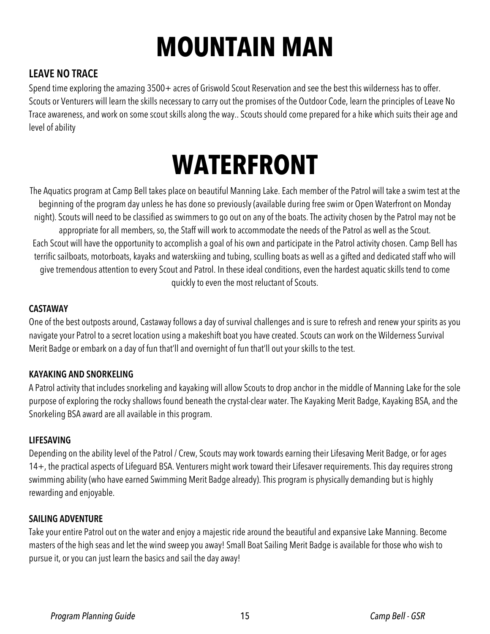## **MOUNTAIN MAN**

### **LEAVE NO TRACE**

Spend time exploring the amazing 3500+ acres of Griswold Scout Reservation and see the best this wilderness has to offer. Scouts or Venturers will learn the skills necessary to carry out the promises of the Outdoor Code, learn the principles of Leave No Trace awareness, and work on some scout skills along the way.. Scouts should come prepared for a hike which suits their age and level of ability

## **WATERFRONT**

The Aquatics program at Camp Bell takes place on beautiful Manning Lake. Each member of the Patrol will take a swim test at the beginning of the program day unless he has done so previously (available during free swim or Open Waterfront on Monday night). Scouts will need to be classified as swimmers to go out on any of the boats. The activity chosen by the Patrol may not be appropriate for all members, so, the Staff will work to accommodate the needs of the Patrol as well as the Scout. Each Scout will have the opportunity to accomplish a goal of his own and participate in the Patrol activity chosen. Camp Bell has terrific sailboats, motorboats, kayaks and waterskiing and tubing, sculling boats as well as a gifted and dedicated staff who will give tremendous attention to every Scout and Patrol. In these ideal conditions, even the hardest aquatic skills tend to come quickly to even the most reluctant of Scouts.

#### **CASTAWAY**

One of the best outposts around, Castaway follows a day of survival challenges and is sure to refresh and renew your spirits as you navigate your Patrol to a secret location using a makeshift boat you have created. Scouts can work on the Wilderness Survival Merit Badge or embark on a day of fun that'll and overnight of fun that'll out your skills to the test.

#### **KAYAKING AND SNORKELING**

A Patrol activity that includes snorkeling and kayaking will allow Scouts to drop anchor in the middle of Manning Lake for the sole purpose of exploring the rocky shallows found beneath the crystal-clear water. The Kayaking Merit Badge, Kayaking BSA, and the Snorkeling BSA award are all available in this program.

#### **LIFESAVING**

Depending on the ability level of the Patrol / Crew, Scouts may work towards earning their Lifesaving Merit Badge, or for ages 14+, the practical aspects of Lifeguard BSA. Venturers might work toward their Lifesaver requirements. This day requires strong swimming ability (who have earned Swimming Merit Badge already). This program is physically demanding but is highly rewarding and enjoyable.

#### **SAILING ADVENTURE**

Take your entire Patrol out on the water and enjoy a majestic ride around the beautiful and expansive Lake Manning. Become masters of the high seas and let the wind sweep you away! Small Boat Sailing Merit Badge is available for those who wish to pursue it, or you can just learn the basics and sail the day away!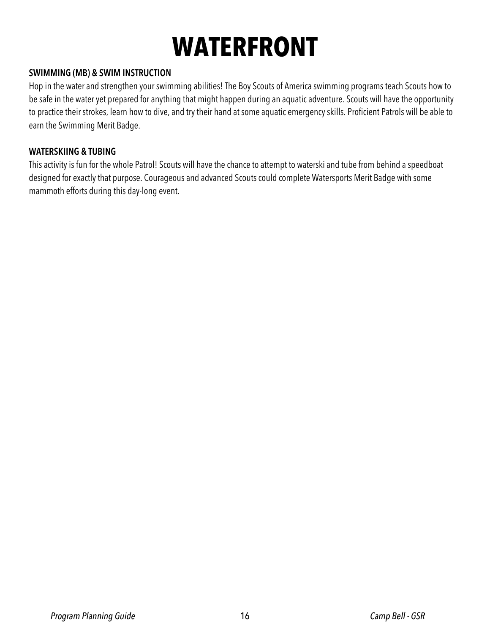## **WATERFRONT**

#### **SWIMMING (MB) & SWIM INSTRUCTION**

Hop in the water and strengthen your swimming abilities! The Boy Scouts of America swimming programs teach Scouts how to be safe in the water yet prepared for anything that might happen during an aquatic adventure. Scouts will have the opportunity to practice their strokes, learn how to dive, and try their hand at some aquatic emergency skills. Proficient Patrols will be able to earn the Swimming Merit Badge.

#### **WATERSKIING & TUBING**

This activity is fun for the whole Patrol! Scouts will have the chance to attempt to waterski and tube from behind a speedboat designed for exactly that purpose. Courageous and advanced Scouts could complete Watersports Merit Badge with some mammoth efforts during this day-long event.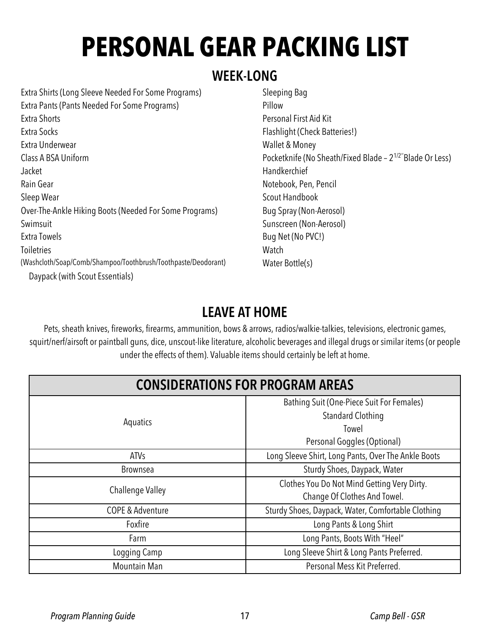## **PERSONAL GEAR PACKING LIST**

### **WEEK-LONG**

Extra Shirts (Long Sleeve Needed For Some Programs) Extra Pants (Pants Needed For Some Programs) Extra Shorts Extra Socks Extra Underwear Class A BSA Uniform Jacket Rain Gear Sleep Wear Over-The-Ankle Hiking Boots (Needed For Some Programs) Swimsuit Extra Towels **Toiletries** (Washcloth/Soap/Comb/Shampoo/Toothbrush/Toothpaste/Deodorant) Daypack (with Scout Essentials)

Sleeping Bag Pillow Personal First Aid Kit Flashlight (Check Batteries!) Wallet & Money Pocketknife (No Sheath/Fixed Blade – 21/2''Blade Or Less) **Handkerchief** Notebook, Pen, Pencil Scout Handbook Bug Spray (Non-Aerosol) Sunscreen (Non-Aerosol) Bug Net (No PVC!) **Watch** Water Bottle(s)

### **LEAVE AT HOME**

Pets, sheath knives, fireworks, firearms, ammunition, bows & arrows, radios/walkie-talkies, televisions, electronic games, squirt/nerf/airsoft or paintball guns, dice, unscout-like literature, alcoholic beverages and illegal drugs or similar items (or people under the effects of them). Valuable items should certainly be left at home.

| <b>CONSIDERATIONS FOR PROGRAM AREAS</b> |                                                                             |  |
|-----------------------------------------|-----------------------------------------------------------------------------|--|
| Aquatics                                | Bathing Suit (One-Piece Suit For Females)<br><b>Standard Clothing</b>       |  |
|                                         | Towel<br>Personal Goggles (Optional)                                        |  |
| <b>ATVs</b>                             | Long Sleeve Shirt, Long Pants, Over The Ankle Boots                         |  |
| <b>Brownsea</b>                         | Sturdy Shoes, Daypack, Water                                                |  |
| Challenge Valley                        | Clothes You Do Not Mind Getting Very Dirty.<br>Change Of Clothes And Towel. |  |
| <b>COPE &amp; Adventure</b>             | Sturdy Shoes, Daypack, Water, Comfortable Clothing                          |  |
| Foxfire                                 | Long Pants & Long Shirt                                                     |  |
| Farm                                    | Long Pants, Boots With "Heel"                                               |  |
| Logging Camp                            | Long Sleeve Shirt & Long Pants Preferred.                                   |  |
| Mountain Man                            | Personal Mess Kit Preferred.                                                |  |